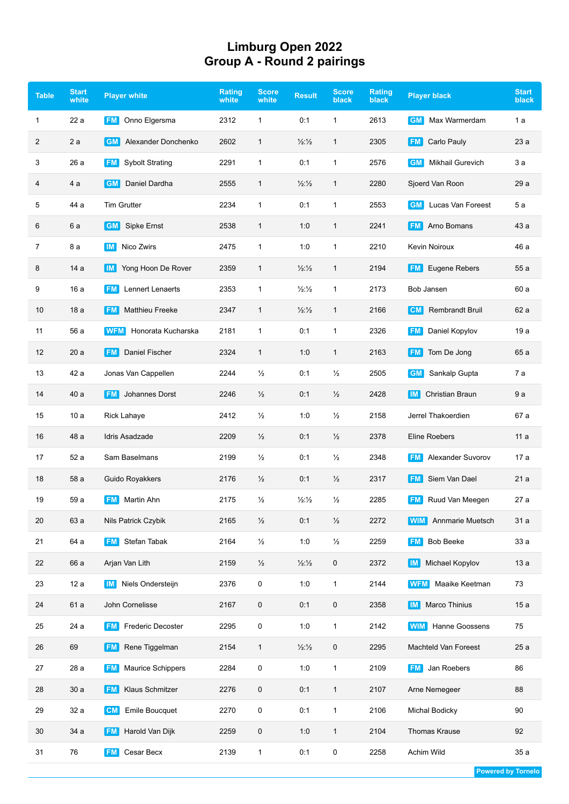## **Limburg Open 2022 Group A - Round 2 pairings**

| <b>Table</b> | <b>Start</b><br>white | <b>Player white</b>                   | Rating<br>white | <b>Score</b><br>white | <b>Result</b>            | <b>Score</b><br>black | <b>Rating</b><br>black | <b>Player black</b>            | <b>Start</b><br>black |
|--------------|-----------------------|---------------------------------------|-----------------|-----------------------|--------------------------|-----------------------|------------------------|--------------------------------|-----------------------|
| 1            | 22 a                  | Onno Elgersma<br><b>FM</b>            | 2312            | $\mathbf{1}$          | 0:1                      | $\mathbf{1}$          | 2613                   | Max Warmerdam<br><b>GM</b>     | 1 a                   |
| 2            | 2a                    | <b>GM</b><br>Alexander Donchenko      | 2602            | $\mathbf{1}$          | $\frac{1}{2}\frac{1}{2}$ | 1                     | 2305                   | Carlo Pauly<br> FM             | 23a                   |
| 3            | 26 a                  | <b>Sybolt Strating</b><br><b>FM</b>   | 2291            | $\mathbf{1}$          | 0:1                      | 1                     | 2576                   | Mikhail Gurevich<br><b>GM</b>  | 3 a                   |
| 4            | 4 a                   | Daniel Dardha<br><b>GM</b>            | 2555            | $\mathbf{1}$          | 1/2:1/2                  | $\mathbf{1}$          | 2280                   | Sjoerd Van Roon                | 29 a                  |
| 5            | 44 a                  | <b>Tim Grutter</b>                    | 2234            | $\mathbf{1}$          | 0:1                      | $\mathbf{1}$          | 2553                   | Lucas Van Foreest<br><b>GM</b> | 5 a                   |
| 6            | 6 a                   | <b>GM</b><br>Sipke Ernst              | 2538            | 1                     | 1:0                      | $\mathbf{1}$          | 2241                   | Arno Bomans<br><b>FM</b>       | 43 a                  |
| 7            | 8 a                   | Nico Zwirs<br><b>IM</b>               | 2475            | $\mathbf{1}$          | 1:0                      | $\mathbf{1}$          | 2210                   | <b>Kevin Noiroux</b>           | 46 a                  |
| 8            | 14 a                  | Yong Hoon De Rover<br>$\mathsf{IM}$   | 2359            | 1                     | 1/2:1/2                  | 1                     | 2194                   | Eugene Rebers<br><b>FM</b>     | 55 a                  |
| 9            | 16a                   | Lennert Lenaerts<br><b>FM</b>         | 2353            | $\mathbf{1}$          | 1/2:1/2                  | 1                     | 2173                   | Bob Jansen                     | 60 a                  |
| 10           | 18a                   | <b>FM</b><br><b>Matthieu Freeke</b>   | 2347            | $\mathbf{1}$          | 1/2:1/2                  | $\mathbf{1}$          | 2166                   | <b>Rembrandt Bruil</b><br> CM  | 62 a                  |
| 11           | 56 a                  | Honorata Kucharska<br>WFM             | 2181            | $\mathbf{1}$          | 0:1                      | 1                     | 2326                   | <b>FM</b><br>Daniel Kopylov    | 19a                   |
| 12           | 20a                   | <b>Daniel Fischer</b><br><b>FM</b>    | 2324            | $\mathbf{1}$          | 1:0                      | $\mathbf{1}$          | 2163                   | <b>FM</b><br>Tom De Jong       | 65 a                  |
| 13           | 42 a                  | Jonas Van Cappellen                   | 2244            | $\frac{1}{2}$         | 0:1                      | $\frac{1}{2}$         | 2505                   | <b>GM</b><br>Sankalp Gupta     | 7 a                   |
| 14           | 40 a                  | Johannes Dorst<br><b>FM</b>           | 2246            | $\frac{1}{2}$         | 0:1                      | $\frac{1}{2}$         | 2428                   | <b>Christian Braun</b><br>  IM | 9 a                   |
| 15           | 10a                   | <b>Rick Lahaye</b>                    | 2412            | $\frac{1}{2}$         | 1:0                      | $\frac{1}{2}$         | 2158                   | Jerrel Thakoerdien             | 67 a                  |
| 16           | 48 a                  | Idris Asadzade                        | 2209            | $\frac{1}{2}$         | 0:1                      | $\frac{1}{2}$         | 2378                   | Eline Roebers                  | 11 a                  |
| 17           | 52 a                  | Sam Baselmans                         | 2199            | ⅓                     | 0:1                      | ½                     | 2348                   | Alexander Suvorov<br><b>FM</b> | 17 a                  |
| 18           | 58 a                  | Guido Royakkers                       | 2176            | $\frac{1}{2}$         | 0:1                      | $\frac{1}{2}$         | 2317                   | Siem Van Dael<br><b>FM</b>     | 21a                   |
| 19           | 59 a                  | <b>FM</b><br>Martin Ahn               | 2175            | ⅓                     | 1/2:1/2                  | $\frac{1}{2}$         | 2285                   | <b>FM</b><br>Ruud Van Meegen   | 27 a                  |
| 20           | 63 a                  | Nils Patrick Czybik                   | 2165            | $\frac{1}{2}$         | 0:1                      | $\frac{1}{2}$         | 2272                   | Annmarie Muetsch<br>  WIM      | 31 a                  |
| 21           | 64 a                  | Stefan Tabak<br><b>FM</b>             | 2164            | $\frac{1}{2}$         | 1:0                      | $\frac{1}{2}$         | 2259                   | <b>Bob Beeke</b><br><b>FM</b>  | 33 a                  |
| 22           | 66 a                  | Arjan Van Lith                        | 2159            | $\frac{1}{2}$         | 1/2:1/2                  | 0                     | 2372                   | Michael Kopylov<br>IM I        | 13a                   |
| 23           | 12 a                  | Niels Ondersteijn<br><b>IM</b>        | 2376            | 0                     | 1:0                      | 1                     | 2144                   | Maaike Keetman<br><b>WFM</b>   | 73                    |
| 24           | 61 a                  | John Cornelisse                       | 2167            | 0                     | 0:1                      | 0                     | 2358                   | Marco Thinius<br>  IM          | 15a                   |
| 25           | 24 a                  | <b>Frederic Decoster</b><br>FM.       | 2295            | 0                     | 1:0                      | 1                     | 2142                   | <b>WIM</b> Hanne Goossens      | 75                    |
| 26           | 69                    | Rene Tiggelman<br><b>FM</b>           | 2154            | $\mathbf{1}$          | $\frac{1}{2}\frac{1}{2}$ | 0                     | 2295                   | Machteld Van Foreest           | 25a                   |
| 27           | 28 a                  | <b>FM</b><br><b>Maurice Schippers</b> | 2284            | 0                     | 1:0                      | $\mathbf{1}$          | 2109                   | <b>FM</b><br>Jan Roebers       | 86                    |
| 28           | 30a                   | Klaus Schmitzer<br><b>FM</b>          | 2276            | 0                     | 0:1                      | $\mathbf{1}$          | 2107                   | Arne Nemegeer                  | 88                    |
| 29           | 32 a                  | CM <br><b>Emile Boucquet</b>          | 2270            | 0                     | 0:1                      | $\mathbf{1}$          | 2106                   | Michal Bodicky                 | 90                    |
| 30           | 34 a                  | Harold Van Dijk<br><b>FM</b>          | 2259            | 0                     | 1:0                      | 1                     | 2104                   | Thomas Krause                  | 92                    |
| 31           | ${\bf 76}$            | Cesar Becx<br><b>FM</b>               | 2139            | 1                     | 0:1                      | 0                     | 2258                   | Achim Wild                     | 35 a                  |
|              |                       |                                       |                 |                       |                          |                       |                        |                                |                       |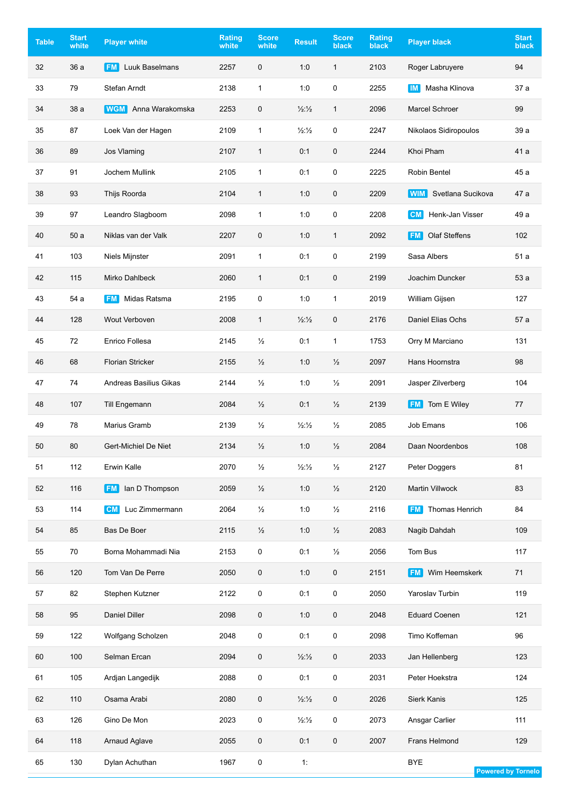| <b>Table</b> | <b>Start</b><br>white | <b>Player white</b>         | <b>Rating</b><br>white | <b>Score</b><br>white | <b>Result</b>            | <b>Score</b><br>black | Rating<br>black | <b>Player black</b>             | <b>Start</b><br>black     |
|--------------|-----------------------|-----------------------------|------------------------|-----------------------|--------------------------|-----------------------|-----------------|---------------------------------|---------------------------|
| 32           | 36 a                  | Luuk Baselmans<br><b>FM</b> | 2257                   | $\mathbf 0$           | 1:0                      | $\mathbf{1}$          | 2103            | Roger Labruyere                 | 94                        |
| 33           | 79                    | Stefan Arndt                | 2138                   | $\mathbf{1}$          | 1:0                      | 0                     | 2255            | Masha Klinova<br>$\blacksquare$ | 37 a                      |
| 34           | 38 a                  | <b>WGM</b> Anna Warakomska  | 2253                   | 0                     | 1/2:1/2                  | $\mathbf{1}$          | 2096            | Marcel Schroer                  | 99                        |
| 35           | 87                    | Loek Van der Hagen          | 2109                   | $\mathbf{1}$          | 1/2:1/2                  | 0                     | 2247            | Nikolaos Sidiropoulos           | 39 a                      |
| 36           | 89                    | Jos Vlaming                 | 2107                   | $\mathbf{1}$          | 0:1                      | 0                     | 2244            | Khoi Pham                       | 41 a                      |
| 37           | 91                    | Jochem Mullink              | 2105                   | $\mathbf{1}$          | 0:1                      | 0                     | 2225            | Robin Bentel                    | 45 a                      |
| 38           | 93                    | Thijs Roorda                | 2104                   | 1                     | 1:0                      | 0                     | 2209            | Svetlana Sucikova<br><b>WIM</b> | 47 a                      |
| 39           | 97                    | Leandro Slagboom            | 2098                   | 1                     | 1:0                      | 0                     | 2208            | Henk-Jan Visser<br><b>CM</b>    | 49 a                      |
| 40           | 50a                   | Niklas van der Valk         | 2207                   | 0                     | 1:0                      | $\mathbf{1}$          | 2092            | Olaf Steffens<br><b>FM</b>      | 102                       |
| 41           | 103                   | Niels Mijnster              | 2091                   | $\mathbf{1}$          | 0:1                      | 0                     | 2199            | Sasa Albers                     | 51 a                      |
| 42           | 115                   | <b>Mirko Dahlbeck</b>       | 2060                   | $\mathbf{1}$          | 0:1                      | 0                     | 2199            | Joachim Duncker                 | 53 a                      |
| 43           | 54 a                  | Midas Ratsma<br><b>FM</b>   | 2195                   | 0                     | 1:0                      | $\mathbf{1}$          | 2019            | William Gijsen                  | 127                       |
| 44           | 128                   | Wout Verboven               | 2008                   | $\mathbf{1}$          | 1/2:1/2                  | 0                     | 2176            | Daniel Elias Ochs               | 57 a                      |
| 45           | 72                    | Enrico Follesa              | 2145                   | $\frac{1}{2}$         | 0:1                      | $\mathbf{1}$          | 1753            | Orry M Marciano                 | 131                       |
| 46           | 68                    | <b>Florian Stricker</b>     | 2155                   | $\frac{1}{2}$         | 1:0                      | $\frac{1}{2}$         | 2097            | Hans Hoornstra                  | 98                        |
| 47           | 74                    | Andreas Basilius Gikas      | 2144                   | $\frac{1}{2}$         | 1:0                      | $\frac{1}{2}$         | 2091            | Jasper Zilverberg               | 104                       |
| 48           | 107                   | Till Engemann               | 2084                   | $\frac{1}{2}$         | 0:1                      | $\frac{1}{2}$         | 2139            | Tom E Wiley<br><b>FM</b>        | 77                        |
| 49           | 78                    | Marius Gramb                | 2139                   | ⅓                     | 1/2:1/2                  | $\frac{1}{2}$         | 2085            | Job Emans                       | 106                       |
| 50           | 80                    | Gert-Michiel De Niet        | 2134                   | $\frac{1}{2}$         | 1:0                      | $\frac{1}{2}$         | 2084            | Daan Noordenbos                 | 108                       |
| 51           | 112                   | Erwin Kalle                 | 2070                   | $\frac{1}{2}$         | $\frac{1}{2}\frac{1}{2}$ | $\frac{1}{2}$         | 2127            | Peter Doggers                   | 81                        |
| 52           | 116                   | <b>FM</b> lan D Thompson    | 2059                   | $\frac{1}{2}$         | 1:0                      | $\frac{1}{2}$         | 2120            | Martin Villwock                 | 83                        |
| 53           | 114                   | Luc Zimmermann<br><b>CM</b> | 2064                   | $\frac{1}{2}$         | 1:0                      | $\frac{1}{2}$         | 2116            | Thomas Henrich<br><b>FM</b>     | 84                        |
| 54           | 85                    | Bas De Boer                 | 2115                   | $\frac{1}{2}$         | 1:0                      | $\frac{1}{2}$         | 2083            | Nagib Dahdah                    | 109                       |
| 55           | 70                    | Borna Mohammadi Nia         | 2153                   | 0                     | 0:1                      | $\frac{1}{2}$         | 2056            | Tom Bus                         | 117                       |
| 56           | 120                   | Tom Van De Perre            | 2050                   | 0                     | 1:0                      | $\mathbf 0$           | 2151            | Wim Heemskerk<br><b>FM</b>      | 71                        |
| 57           | 82                    | Stephen Kutzner             | 2122                   | 0                     | 0:1                      | 0                     | 2050            | Yaroslav Turbin                 | 119                       |
| 58           | 95                    | Daniel Diller               | 2098                   | 0                     | 1:0                      | $\mathbf 0$           | 2048            | <b>Eduard Coenen</b>            | 121                       |
| 59           | 122                   | Wolfgang Scholzen           | 2048                   | 0                     | 0:1                      | $\mathbf 0$           | 2098            | Timo Koffeman                   | 96                        |
| 60           | 100                   | Selman Ercan                | 2094                   | 0                     | 1/2:1/2                  | 0                     | 2033            | Jan Hellenberg                  | 123                       |
| 61           | 105                   | Ardjan Langedijk            | 2088                   | 0                     | 0:1                      | $\mathsf 0$           | 2031            | Peter Hoekstra                  | 124                       |
| 62           | 110                   | Osama Arabi                 | 2080                   | 0                     | 1/2:1/2                  | $\mathbf 0$           | 2026            | <b>Sierk Kanis</b>              | 125                       |
| 63           | 126                   | Gino De Mon                 | 2023                   | 0                     | $\frac{1}{2}\frac{1}{2}$ | 0                     | 2073            | Ansgar Carlier                  | 111                       |
| 64           | 118                   | Arnaud Aglave               | 2055                   | 0                     | 0:1                      | 0                     | 2007            | Frans Helmond                   | 129                       |
| 65           | 130                   | Dylan Achuthan              | 1967                   | 0                     | 1:                       |                       |                 | <b>BYE</b>                      | <b>Powered by Tornelo</b> |